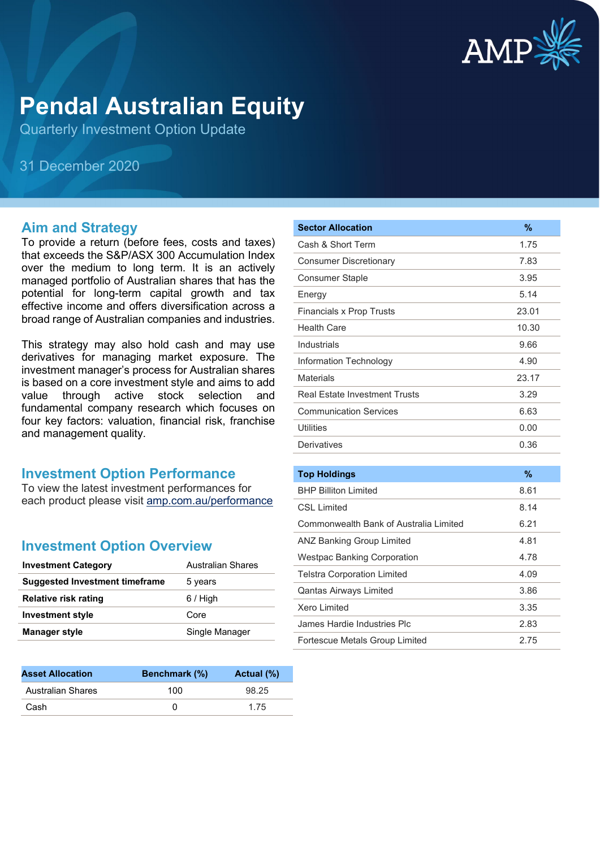

# **Pendal Australian Equity**

Quarterly Investment Option Update

31 December 2020

#### **Aim and Strategy**

To provide a return (before fees, costs and taxes) that exceeds the S&P/ASX 300 Accumulation Index over the medium to long term. It is an actively managed portfolio of Australian shares that has the potential for long-term capital growth and tax effective income and offers diversification across a broad range of Australian companies and industries.

This strategy may also hold cash and may use derivatives for managing market exposure. The investment manager's process for Australian shares is based on a core investment style and aims to add value through active stock selection and fundamental company research which focuses on four key factors: valuation, financial risk, franchise and management quality.

#### **Investment Option Performance**

To view the latest investment performances for each product please visit [amp.com.au/performance](https://www.amp.com.au/performance)

#### **Investment Option Overview**

| <b>Investment Category</b>            | Australian Shares |
|---------------------------------------|-------------------|
| <b>Suggested Investment timeframe</b> | 5 years           |
| <b>Relative risk rating</b>           | $6/$ High         |
| <b>Investment style</b>               | Core              |
| <b>Manager style</b>                  | Single Manager    |
|                                       |                   |

| <b>Asset Allocation</b>  | <b>Benchmark</b> (%) | Actual (%) |
|--------------------------|----------------------|------------|
| <b>Australian Shares</b> | 100                  | 98.25      |
| Cash                     |                      | 1 75       |

| <b>Sector Allocation</b>               | %             |
|----------------------------------------|---------------|
| Cash & Short Term                      | 1.75          |
| <b>Consumer Discretionary</b>          | 7.83          |
| <b>Consumer Staple</b>                 | 3.95          |
| Energy                                 | 5.14          |
| <b>Financials x Prop Trusts</b>        | 23.01         |
| <b>Health Care</b>                     | 10.30         |
| Industrials                            | 9.66          |
| Information Technology                 | 4.90          |
| <b>Materials</b>                       | 23.17         |
| <b>Real Estate Investment Trusts</b>   | 3.29          |
| <b>Communication Services</b>          | 6.63          |
| <b>Utilities</b>                       | 0.00          |
| Derivatives                            | 0.36          |
|                                        |               |
| <b>Top Holdings</b>                    | $\frac{9}{6}$ |
| <b>BHP Billiton Limited</b>            | 8.61          |
| <b>CSL Limited</b>                     | 8.14          |
| Commonwealth Bank of Australia Limited | 6.21          |
| <b>ANZ Banking Group Limited</b>       | 4.81          |
| <b>Westpac Banking Corporation</b>     | 4.78          |
| <b>Telstra Corporation Limited</b>     | 4.09          |
| <b>Qantas Airways Limited</b>          | 3.86          |
| <b>Xero Limited</b>                    | 3.35          |
| James Hardie Industries Plc            | 2.83          |
| Fortescue Metals Group Limited         | 2.75          |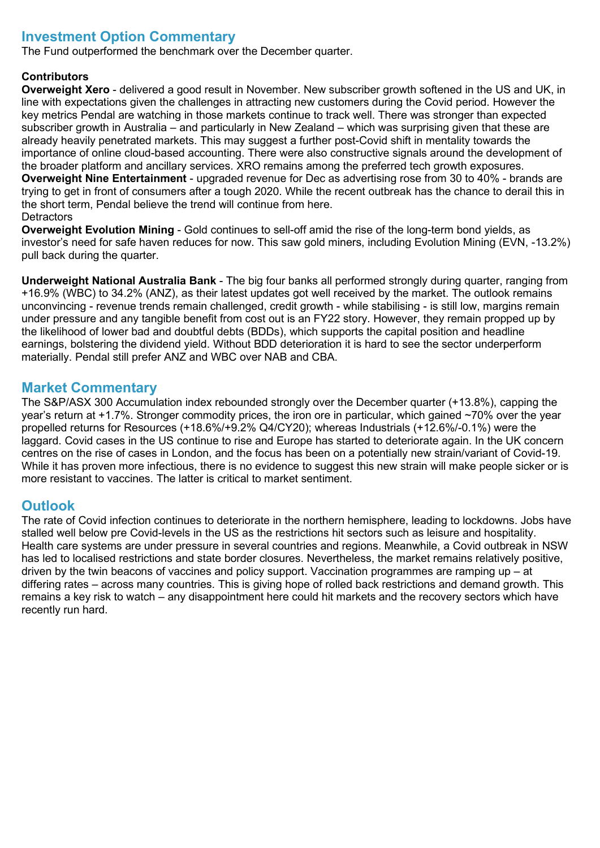### **Investment Option Commentary**

The Fund outperformed the benchmark over the December quarter.

#### **Contributors**

**Overweight Xero** - delivered a good result in November. New subscriber growth softened in the US and UK, in line with expectations given the challenges in attracting new customers during the Covid period. However the key metrics Pendal are watching in those markets continue to track well. There was stronger than expected subscriber growth in Australia – and particularly in New Zealand – which was surprising given that these are already heavily penetrated markets. This may suggest a further post-Covid shift in mentality towards the importance of online cloud-based accounting. There were also constructive signals around the development of the broader platform and ancillary services. XRO remains among the preferred tech growth exposures. **Overweight Nine Entertainment** - upgraded revenue for Dec as advertising rose from 30 to 40% - brands are trying to get in front of consumers after a tough 2020. While the recent outbreak has the chance to derail this in the short term, Pendal believe the trend will continue from here. **Detractors** 

**Overweight Evolution Mining** - Gold continues to sell-off amid the rise of the long-term bond yields, as investor's need for safe haven reduces for now. This saw gold miners, including Evolution Mining (EVN, -13.2%) pull back during the quarter.

**Underweight National Australia Bank** - The big four banks all performed strongly during quarter, ranging from +16.9% (WBC) to 34.2% (ANZ), as their latest updates got well received by the market. The outlook remains unconvincing - revenue trends remain challenged, credit growth - while stabilising - is still low, margins remain under pressure and any tangible benefit from cost out is an FY22 story. However, they remain propped up by the likelihood of lower bad and doubtful debts (BDDs), which supports the capital position and headline earnings, bolstering the dividend yield. Without BDD deterioration it is hard to see the sector underperform materially. Pendal still prefer ANZ and WBC over NAB and CBA.

#### **Market Commentary**

The S&P/ASX 300 Accumulation index rebounded strongly over the December quarter (+13.8%), capping the year's return at +1.7%. Stronger commodity prices, the iron ore in particular, which gained ~70% over the year propelled returns for Resources (+18.6%/+9.2% Q4/CY20); whereas Industrials (+12.6%/-0.1%) were the laggard. Covid cases in the US continue to rise and Europe has started to deteriorate again. In the UK concern centres on the rise of cases in London, and the focus has been on a potentially new strain/variant of Covid-19. While it has proven more infectious, there is no evidence to suggest this new strain will make people sicker or is more resistant to vaccines. The latter is critical to market sentiment.

#### **Outlook**

The rate of Covid infection continues to deteriorate in the northern hemisphere, leading to lockdowns. Jobs have stalled well below pre Covid-levels in the US as the restrictions hit sectors such as leisure and hospitality. Health care systems are under pressure in several countries and regions. Meanwhile, a Covid outbreak in NSW has led to localised restrictions and state border closures. Nevertheless, the market remains relatively positive, driven by the twin beacons of vaccines and policy support. Vaccination programmes are ramping up – at differing rates – across many countries. This is giving hope of rolled back restrictions and demand growth. This remains a key risk to watch – any disappointment here could hit markets and the recovery sectors which have recently run hard.